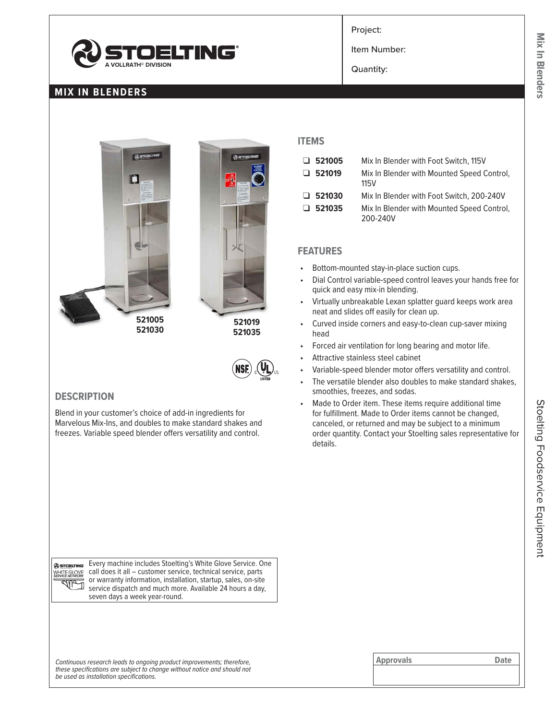

## **MIX IN BLENDERS**



#### **DESCRIPTION**

Blend in your customer's choice of add-in ingredients for Marvelous Mix-Ins, and doubles to make standard shakes and freezes. Variable speed blender offers versatility and control.

Project:

Item Number:

Quantity:

### **ITEMS**

| $\Box$ 521005 | Mix In Blender with Foot Switch, 115V                  |
|---------------|--------------------------------------------------------|
| $\Box$ 521019 | Mix In Blender with Mounted Speed Control,<br>115V     |
| $\Box$ 521030 | Mix In Blender with Foot Switch, 200-240V              |
| $\Box$ 521035 | Mix In Blender with Mounted Speed Control,<br>200-240V |

#### **FEATURES**

- Bottom-mounted stay-in-place suction cups.
- Dial Control variable-speed control leaves your hands free for quick and easy mix-in blending.
- Virtually unbreakable Lexan splatter guard keeps work area neat and slides off easily for clean up.
- Curved inside corners and easy-to-clean cup-saver mixing head
- Forced air ventilation for long bearing and motor life.
- Attractive stainless steel cabinet
- Variable-speed blender motor offers versatility and control.
- The versatile blender also doubles to make standard shakes, smoothies, freezes, and sodas.
- Made to Order item. These items require additional time for fulfillment. Made to Order items cannot be changed, canceled, or returned and may be subject to a minimum order quantity. Contact your Stoelting sales representative for details.

@STOELTING WHITE GLOVE  $d\mu_{\sigma}$ 

Every machine includes Stoelting's White Glove Service. One call does it all – customer service, technical service, parts or warranty information, installation, startup, sales, on-site D service dispatch and much more. Available 24 hours a day, seven days a week year-round.

Continuous research leads to ongoing product improvements; therefore, **Approvals Approvals Approvals Date** *these specifications are subject to change without notice and should not be used as installation specifications.*